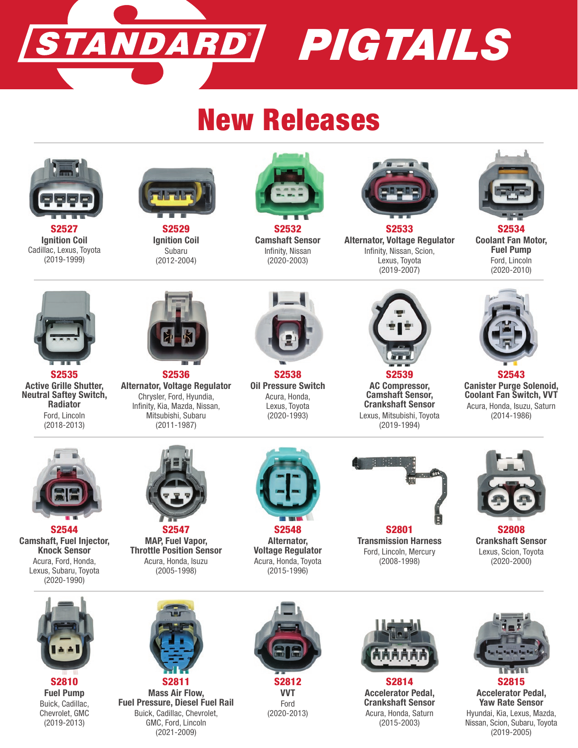

## New Releases



S2527 Ignition Coil Cadillac, Lexus, Toyota (2019-1999)



S2529 Ignition Coil Subaru (2012-2004)



S2532 Camshaft Sensor Infinity, Nissan (2020-2003)



S2533 Alternator, Voltage Regulator Infinity, Nissan, Scion, Lexus, Toyota (2019-2007)



S2534 Coolant Fan Motor, Fuel Pump Ford, Lincoln (2020-2010)



S2535 Active Grille Shutter, Neutral Saftey Switch, Radiator Ford, Lincoln (2018-2013)



S2536 Alternator, Voltage Regulator Chrysler, Ford, Hyundia, Infinity, Kia, Mazda, Nissan, Mitsubishi, Subaru (2011-1987)



S2538 Oil Pressure Switch Acura, Honda, Lexus, Toyota (2020-1993)



AC Compressor, Camshaft Sensor, Crankshaft Sensor Lexus, Mitsubishi, Toyota (2019-1994)



S2543 Canister Purge Solenoid, Coolant Fan Switch, VVT Acura, Honda, Isuzu, Saturn (2014-1986)



S2544 Camshaft, Fuel Injector, Knock Sensor Acura, Ford, Honda, Lexus, Subaru, Toyota (2020-1990)



S2547 MAP, Fuel Vapor, Throttle Position Sensor Acura, Honda, Isuzu (2005-1998)



S2548 Alternator, Voltage Regulator Acura, Honda, Toyota (2015-1996)



Transmission Harness Ford, Lincoln, Mercury (2008-1998)



S2808 Crankshaft Sensor Lexus, Scion, Toyota (2020-2000)



S2810 Fuel Pump Buick, Cadillac, Chevrolet, GMC (2019-2013)



S2811 Mass Air Flow, Fuel Pressure, Diesel Fuel Rail Buick, Cadillac, Chevrolet, GMC, Ford, Lincoln (2021-2009)



VVT Ford (2020-2013)



S2814 Accelerator Pedal, Crankshaft Sensor Acura, Honda, Saturn (2015-2003)



S2815 Accelerator Pedal, Yaw Rate Sensor Hyundai, Kia, Lexus, Mazda, Nissan, Scion, Subaru, Toyota (2019-2005)